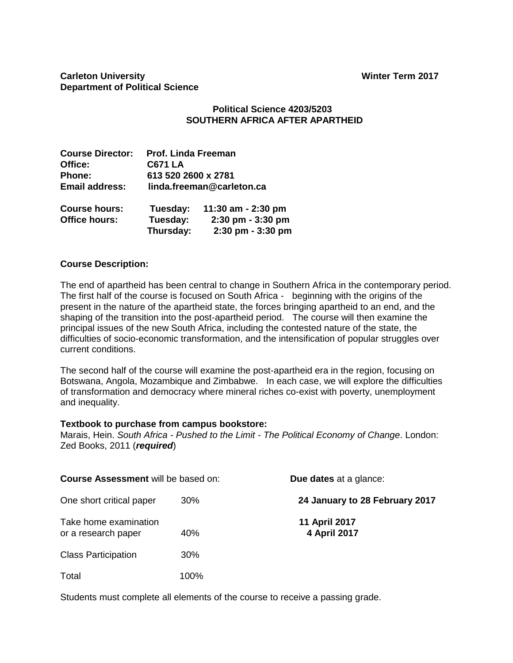# **Carleton University Carleton University Department of Political Science**

# **Political Science 4203/5203 SOUTHERN AFRICA AFTER APARTHEID**

| <b>Course Director:</b> | <b>Prof. Linda Freeman</b> |                    |  |  |  |
|-------------------------|----------------------------|--------------------|--|--|--|
| Office:                 | <b>C671 LA</b>             |                    |  |  |  |
| Phone:                  | 613 520 2600 x 2781        |                    |  |  |  |
| <b>Email address:</b>   | linda.freeman@carleton.ca  |                    |  |  |  |
| <b>Course hours:</b>    | Tuesday:                   | 11:30 am - 2:30 pm |  |  |  |
| <b>Office hours:</b>    | Tuesday:                   | 2:30 pm - 3:30 pm  |  |  |  |
|                         | Thursday:                  | 2:30 pm - 3:30 pm  |  |  |  |

# **Course Description:**

The end of apartheid has been central to change in Southern Africa in the contemporary period. The first half of the course is focused on South Africa - beginning with the origins of the present in the nature of the apartheid state, the forces bringing apartheid to an end, and the shaping of the transition into the post-apartheid period. The course will then examine the principal issues of the new South Africa, including the contested nature of the state, the difficulties of socio-economic transformation, and the intensification of popular struggles over current conditions.

The second half of the course will examine the post-apartheid era in the region, focusing on Botswana, Angola, Mozambique and Zimbabwe. In each case, we will explore the difficulties of transformation and democracy where mineral riches co-exist with poverty, unemployment and inequality.

#### **Textbook to purchase from campus bookstore:**

Marais, Hein. *South Africa - Pushed to the Limit - The Political Economy of Change*. London: Zed Books, 2011 (*required*)

| <b>Course Assessment will be based on:</b>   |      | <b>Due dates</b> at a glance:  |  |  |
|----------------------------------------------|------|--------------------------------|--|--|
| One short critical paper                     | 30%  | 24 January to 28 February 2017 |  |  |
| Take home examination<br>or a research paper | 40%  | 11 April 2017<br>4 April 2017  |  |  |
| <b>Class Participation</b>                   | 30%  |                                |  |  |
| Total                                        | 100% |                                |  |  |

Students must complete all elements of the course to receive a passing grade.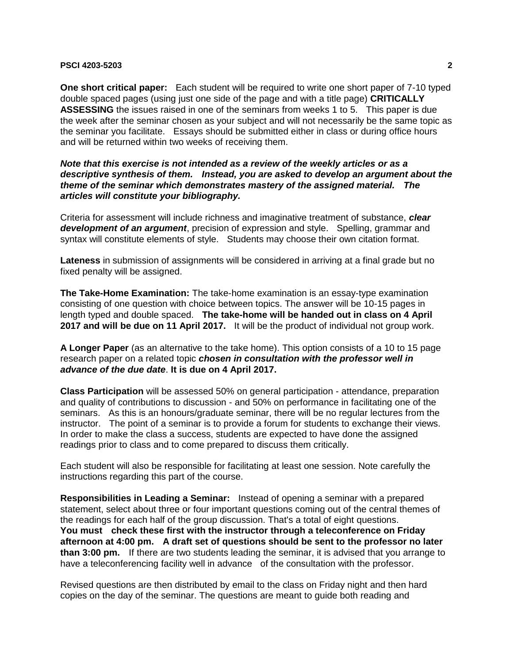**One short critical paper:** Each student will be required to write one short paper of 7-10 typed double spaced pages (using just one side of the page and with a title page) **CRITICALLY ASSESSING** the issues raised in one of the seminars from weeks 1 to 5. This paper is due the week after the seminar chosen as your subject and will not necessarily be the same topic as the seminar you facilitate. Essays should be submitted either in class or during office hours and will be returned within two weeks of receiving them.

*Note that this exercise is not intended as a review of the weekly articles or as a descriptive synthesis of them. Instead, you are asked to develop an argument about the theme of the seminar which demonstrates mastery of the assigned material. The articles will constitute your bibliography.* 

Criteria for assessment will include richness and imaginative treatment of substance, *clear development of an argument*, precision of expression and style. Spelling, grammar and syntax will constitute elements of style. Students may choose their own citation format.

**Lateness** in submission of assignments will be considered in arriving at a final grade but no fixed penalty will be assigned.

**The Take-Home Examination:** The take-home examination is an essay-type examination consisting of one question with choice between topics. The answer will be 10-15 pages in length typed and double spaced. **The take-home will be handed out in class on 4 April 2017 and will be due on 11 April 2017.** It will be the product of individual not group work.

**A Longer Paper** (as an alternative to the take home). This option consists of a 10 to 15 page research paper on a related topic *chosen in consultation with the professor well in advance of the due date*. **It is due on 4 April 2017.**

**Class Participation** will be assessed 50% on general participation - attendance, preparation and quality of contributions to discussion - and 50% on performance in facilitating one of the seminars. As this is an honours/graduate seminar, there will be no regular lectures from the instructor. The point of a seminar is to provide a forum for students to exchange their views. In order to make the class a success, students are expected to have done the assigned readings prior to class and to come prepared to discuss them critically.

Each student will also be responsible for facilitating at least one session. Note carefully the instructions regarding this part of the course.

**Responsibilities in Leading a Seminar:** Instead of opening a seminar with a prepared statement, select about three or four important questions coming out of the central themes of the readings for each half of the group discussion. That's a total of eight questions. **You must check these first with the instructor through a teleconference on Friday afternoon at 4:00 pm. A draft set of questions should be sent to the professor no later than 3:00 pm.** If there are two students leading the seminar, it is advised that you arrange to have a teleconferencing facility well in advance of the consultation with the professor.

Revised questions are then distributed by email to the class on Friday night and then hard copies on the day of the seminar. The questions are meant to guide both reading and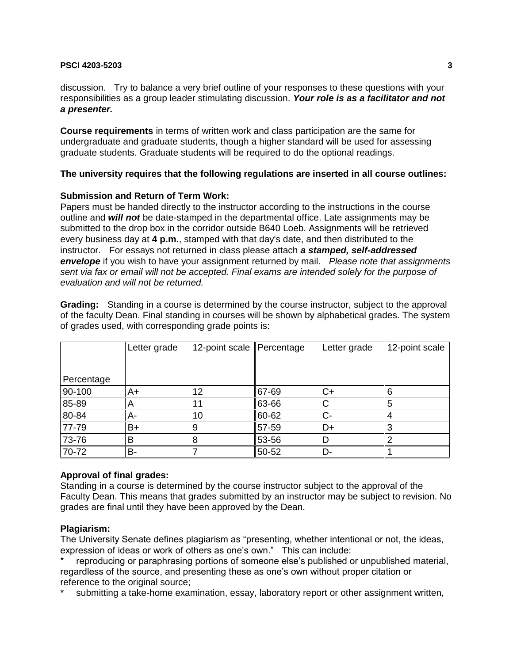discussion. Try to balance a very brief outline of your responses to these questions with your responsibilities as a group leader stimulating discussion. *Your role is as a facilitator and not a presenter.*

**Course requirements** in terms of written work and class participation are the same for undergraduate and graduate students, though a higher standard will be used for assessing graduate students. Graduate students will be required to do the optional readings.

# **The university requires that the following regulations are inserted in all course outlines:**

# **Submission and Return of Term Work:**

Papers must be handed directly to the instructor according to the instructions in the course outline and *will not* be date-stamped in the departmental office. Late assignments may be submitted to the drop box in the corridor outside B640 Loeb. Assignments will be retrieved every business day at **4 p.m.**, stamped with that day's date, and then distributed to the instructor. For essays not returned in class please attach *a stamped, self-addressed envelope* if you wish to have your assignment returned by mail. *Please note that assignments sent via fax or email will not be accepted. Final exams are intended solely for the purpose of evaluation and will not be returned.*

**Grading:** Standing in a course is determined by the course instructor, subject to the approval of the faculty Dean. Final standing in courses will be shown by alphabetical grades. The system of grades used, with corresponding grade points is:

|            | Letter grade | 12-point scale Percentage |       | Letter grade | 12-point scale |
|------------|--------------|---------------------------|-------|--------------|----------------|
| Percentage |              |                           |       |              |                |
| 90-100     | A+           | 12                        | 67-69 | C+           |                |
| 85-89      |              | 11                        | 63-66 |              |                |
| 80-84      | А-           | 10                        | 60-62 | C-           |                |
| 77-79      | B+           | 9                         | 57-59 | D+           |                |
| 73-76      | В            | 8                         | 53-56 |              |                |
| 70-72      | В-           |                           | 50-52 | D-           |                |

# **Approval of final grades:**

Standing in a course is determined by the course instructor subject to the approval of the Faculty Dean. This means that grades submitted by an instructor may be subject to revision. No grades are final until they have been approved by the Dean.

#### **Plagiarism:**

The University Senate defines plagiarism as "presenting, whether intentional or not, the ideas, expression of ideas or work of others as one's own." This can include:

reproducing or paraphrasing portions of someone else's published or unpublished material, regardless of the source, and presenting these as one's own without proper citation or reference to the original source;

submitting a take-home examination, essay, laboratory report or other assignment written,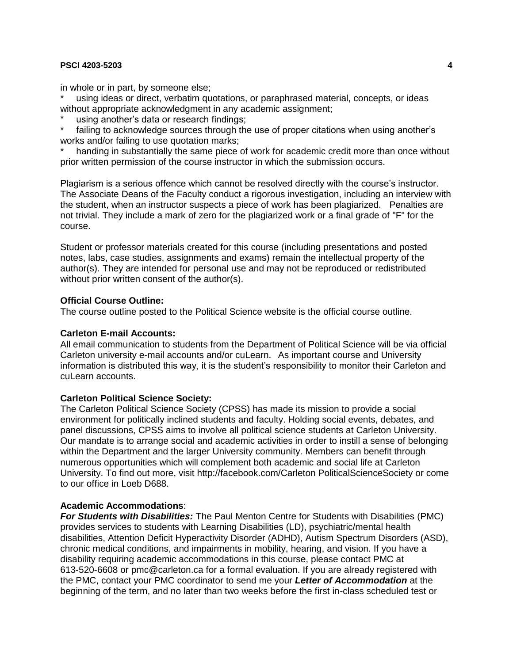in whole or in part, by someone else;

using ideas or direct, verbatim quotations, or paraphrased material, concepts, or ideas without appropriate acknowledgment in any academic assignment;

using another's data or research findings;

failing to acknowledge sources through the use of proper citations when using another's works and/or failing to use quotation marks;

handing in substantially the same piece of work for academic credit more than once without prior written permission of the course instructor in which the submission occurs.

Plagiarism is a serious offence which cannot be resolved directly with the course's instructor. The Associate Deans of the Faculty conduct a rigorous investigation, including an interview with the student, when an instructor suspects a piece of work has been plagiarized. Penalties are not trivial. They include a mark of zero for the plagiarized work or a final grade of "F" for the course.

Student or professor materials created for this course (including presentations and posted notes, labs, case studies, assignments and exams) remain the intellectual property of the author(s). They are intended for personal use and may not be reproduced or redistributed without prior written consent of the author(s).

#### **Official Course Outline:**

The course outline posted to the Political Science website is the official course outline.

#### **Carleton E-mail Accounts:**

All email communication to students from the Department of Political Science will be via official Carleton university e-mail accounts and/or cuLearn. As important course and University information is distributed this way, it is the student's responsibility to monitor their Carleton and cul earn accounts.

#### **Carleton Political Science Society:**

The Carleton Political Science Society (CPSS) has made its mission to provide a social environment for politically inclined students and faculty. Holding social events, debates, and panel discussions, CPSS aims to involve all political science students at Carleton University. Our mandate is to arrange social and academic activities in order to instill a sense of belonging within the Department and the larger University community. Members can benefit through numerous opportunities which will complement both academic and social life at Carleton University. To find out more, visit http://facebook.com/Carleton PoliticalScienceSociety or come to our office in Loeb D688.

#### **Academic Accommodations**:

*For Students with Disabilities:* The Paul Menton Centre for Students with Disabilities (PMC) provides services to students with Learning Disabilities (LD), psychiatric/mental health disabilities, Attention Deficit Hyperactivity Disorder (ADHD), Autism Spectrum Disorders (ASD), chronic medical conditions, and impairments in mobility, hearing, and vision. If you have a disability requiring academic accommodations in this course, please contact PMC at 613-520-6608 or pmc@carleton.ca for a formal evaluation. If you are already registered with the PMC, contact your PMC coordinator to send me your *Letter of Accommodation* at the beginning of the term, and no later than two weeks before the first in-class scheduled test or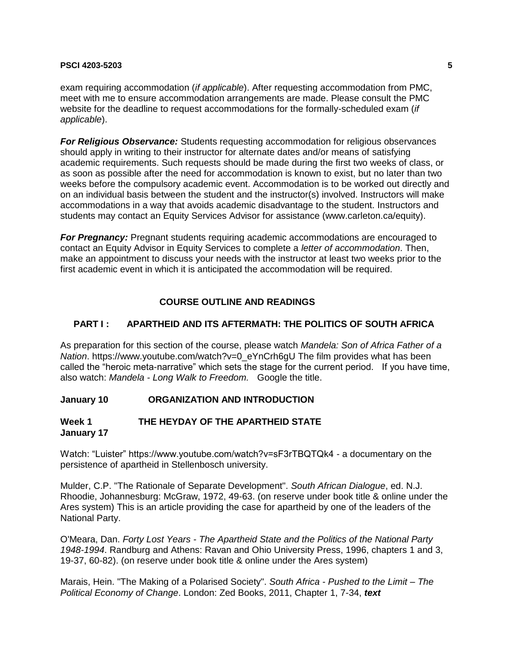exam requiring accommodation (*if applicable*). After requesting accommodation from PMC, meet with me to ensure accommodation arrangements are made. Please consult the PMC website for the deadline to request accommodations for the formally-scheduled exam (*if applicable*).

*For Religious Observance:* Students requesting accommodation for religious observances should apply in writing to their instructor for alternate dates and/or means of satisfying academic requirements. Such requests should be made during the first two weeks of class, or as soon as possible after the need for accommodation is known to exist, but no later than two weeks before the compulsory academic event. Accommodation is to be worked out directly and on an individual basis between the student and the instructor(s) involved. Instructors will make accommodations in a way that avoids academic disadvantage to the student. Instructors and students may contact an Equity Services Advisor for assistance (www.carleton.ca/equity).

*For Pregnancy:* Pregnant students requiring academic accommodations are encouraged to contact an Equity Advisor in Equity Services to complete a *letter of accommodation*. Then, make an appointment to discuss your needs with the instructor at least two weeks prior to the first academic event in which it is anticipated the accommodation will be required.

# **COURSE OUTLINE AND READINGS**

# **PART I : APARTHEID AND ITS AFTERMATH: THE POLITICS OF SOUTH AFRICA**

As preparation for this section of the course, please watch *Mandela: Son of Africa Father of a Nation*. https://www.youtube.com/watch?v=0\_eYnCrh6gU The film provides what has been called the "heroic meta-narrative" which sets the stage for the current period. If you have time, also watch: *Mandela - Long Walk to Freedom.* Google the title.

#### **January 10 ORGANIZATION AND INTRODUCTION**

#### **Week 1 THE HEYDAY OF THE APARTHEID STATE January 17**

Watch: "Luister" https://www.youtube.com/watch?v=sF3rTBQTQk4 - a documentary on the persistence of apartheid in Stellenbosch university.

Mulder, C.P. "The Rationale of Separate Development". *South African Dialogue*, ed. N.J. Rhoodie, Johannesburg: McGraw, 1972, 49-63. (on reserve under book title & online under the Ares system) This is an article providing the case for apartheid by one of the leaders of the National Party.

O'Meara, Dan. *Forty Lost Years - The Apartheid State and the Politics of the National Party 1948-1994*. Randburg and Athens: Ravan and Ohio University Press, 1996, chapters 1 and 3, 19-37, 60-82). (on reserve under book title & online under the Ares system)

Marais, Hein. "The Making of a Polarised Society". *South Africa - Pushed to the Limit – The Political Economy of Change*. London: Zed Books, 2011, Chapter 1, 7-34, *text*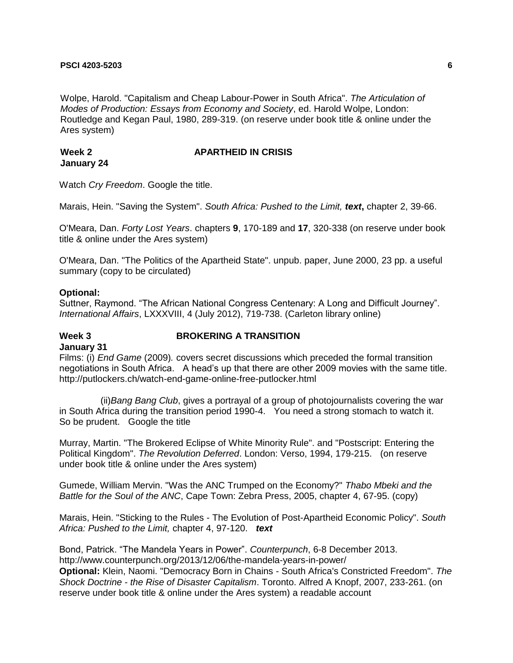Wolpe, Harold. "Capitalism and Cheap Labour-Power in South Africa". *The Articulation of Modes of Production: Essays from Economy and Society*, ed. Harold Wolpe, London: Routledge and Kegan Paul, 1980, 289-319. (on reserve under book title & online under the Ares system)

#### **Week 2** APARTHEID IN CRISIS **January 24**

Watch *Cry Freedom*. Google the title.

Marais, Hein. "Saving the System". *South Africa: Pushed to the Limit, text***,** chapter 2, 39-66.

O'Meara, Dan. *Forty Lost Years*. chapters **9**, 170-189 and **17**, 320-338 (on reserve under book title & online under the Ares system)

O'Meara, Dan. "The Politics of the Apartheid State". unpub. paper, June 2000, 23 pp. a useful summary (copy to be circulated)

#### **Optional:**

Suttner, Raymond. "The African National Congress Centenary: A Long and Difficult Journey". *International Affairs*, LXXXVIII, 4 (July 2012), 719-738. (Carleton library online)

## **Week 3 BROKERING A TRANSITION**

## **January 31**

Films: (i) *End Game* (2009)*.* covers secret discussions which preceded the formal transition negotiations in South Africa. A head's up that there are other 2009 movies with the same title. http://putlockers.ch/watch-end-game-online-free-putlocker.html

(ii)*Bang Bang Club*, gives a portrayal of a group of photojournalists covering the war in South Africa during the transition period 1990-4. You need a strong stomach to watch it. So be prudent. Google the title

Murray, Martin. "The Brokered Eclipse of White Minority Rule". and "Postscript: Entering the Political Kingdom". *The Revolution Deferred*. London: Verso, 1994, 179-215. (on reserve under book title & online under the Ares system)

Gumede, William Mervin. "Was the ANC Trumped on the Economy?" *Thabo Mbeki and the Battle for the Soul of the ANC*, Cape Town: Zebra Press, 2005, chapter 4, 67-95. (copy)

Marais, Hein. "Sticking to the Rules - The Evolution of Post-Apartheid Economic Policy". *South Africa: Pushed to the Limit,* chapter 4, 97-120. *text*

Bond, Patrick. "The Mandela Years in Power". *Counterpunch*, 6-8 December 2013. http://www.counterpunch.org/2013/12/06/the-mandela-years-in-power/ **Optional:** Klein, Naomi. "Democracy Born in Chains - South Africa's Constricted Freedom". *The Shock Doctrine - the Rise of Disaster Capitalism*. Toronto. Alfred A Knopf, 2007, 233-261. (on reserve under book title & online under the Ares system) a readable account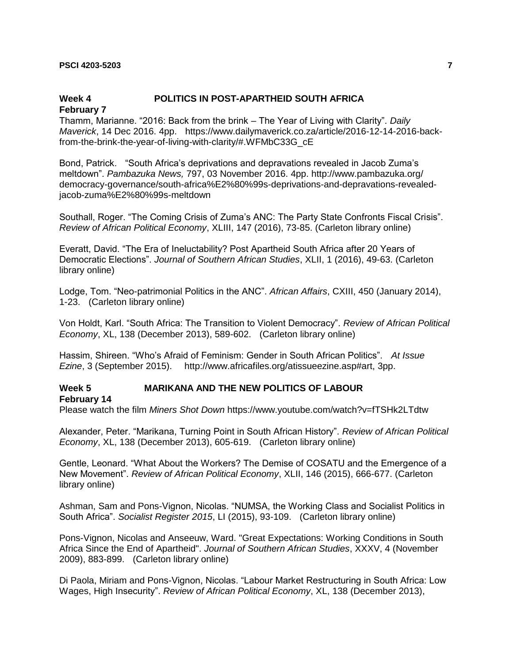# **Week 4 POLITICS IN POST-APARTHEID SOUTH AFRICA**

#### **February 7**

Thamm, Marianne. "2016: Back from the brink – The Year of Living with Clarity". *Daily Maverick*, 14 Dec 2016. 4pp. https://www.dailymaverick.co.za/article/2016-12-14-2016-backfrom-the-brink-the-year-of-living-with-clarity/#.WFMbC33G\_cE

Bond, Patrick. "South Africa's deprivations and depravations revealed in Jacob Zuma's meltdown". *Pambazuka News,* 797, 03 November 2016. 4pp. http://www.pambazuka.org/ democracy-governance/south-africa%E2%80%99s-deprivations-and-depravations-revealedjacob-zuma%E2%80%99s-meltdown

Southall, Roger. "The Coming Crisis of Zuma's ANC: The Party State Confronts Fiscal Crisis". *Review of African Political Economy*, XLIII, 147 (2016), 73-85. (Carleton library online)

Everatt, David. "The Era of Ineluctability? Post Apartheid South Africa after 20 Years of Democratic Elections". *Journal of Southern African Studies*, XLII, 1 (2016), 49-63. (Carleton library online)

Lodge, Tom. "Neo-patrimonial Politics in the ANC". *African Affairs*, CXIII, 450 (January 2014), 1-23. (Carleton library online)

Von Holdt, Karl. "South Africa: The Transition to Violent Democracy". *Review of African Political Economy*, XL, 138 (December 2013), 589-602. (Carleton library online)

Hassim, Shireen. "Who's Afraid of Feminism: Gender in South African Politics". *At Issue Ezine*, 3 (September 2015). http://www.africafiles.org/atissueezine.asp#art, 3pp.

# **Week 5 MARIKANA AND THE NEW POLITICS OF LABOUR**

#### **February 14**

Please watch the film *Miners Shot Down* https://www.youtube.com/watch?v=fTSHk2LTdtw

Alexander, Peter. "Marikana, Turning Point in South African History". *Review of African Political Economy*, XL, 138 (December 2013), 605-619. (Carleton library online)

Gentle, Leonard. "What About the Workers? The Demise of COSATU and the Emergence of a New Movement". *Review of African Political Economy*, XLII, 146 (2015), 666-677. (Carleton library online)

Ashman, Sam and Pons-Vignon, Nicolas. "NUMSA, the Working Class and Socialist Politics in South Africa". *Socialist Register 2015*, LI (2015), 93-109. (Carleton library online)

Pons-Vignon, Nicolas and Anseeuw, Ward. "Great Expectations: Working Conditions in South Africa Since the End of Apartheid". *Journal of Southern African Studies*, XXXV, 4 (November 2009), 883-899. (Carleton library online)

Di Paola, Miriam and Pons-Vignon, Nicolas. "Labour Market Restructuring in South Africa: Low Wages, High Insecurity". *Review of African Political Economy*, XL, 138 (December 2013),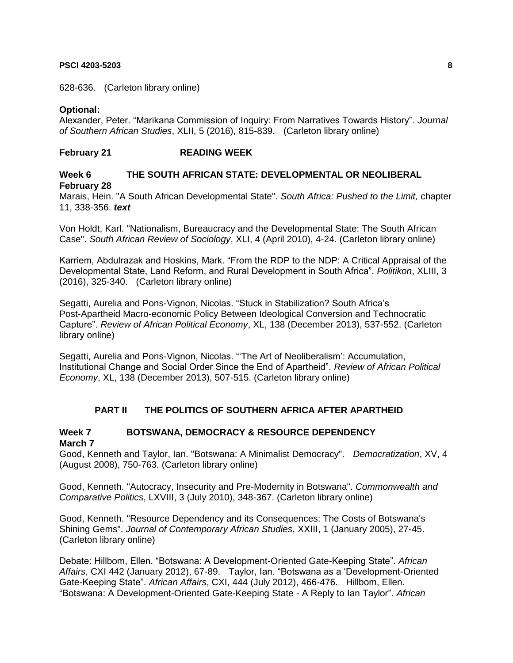628-636. (Carleton library online)

# **Optional:**

Alexander, Peter. "Marikana Commission of Inquiry: From Narratives Towards History". *Journal of Southern African Studies*, XLII, 5 (2016), 815-839. (Carleton library online)

# **February 21 READING WEEK**

# **Week 6 THE SOUTH AFRICAN STATE: DEVELOPMENTAL OR NEOLIBERAL February 28**

Marais, Hein. "A South African Developmental State". *South Africa: Pushed to the Limit,* chapter 11, 338-356. *text*

Von Holdt, Karl. "Nationalism, Bureaucracy and the Developmental State: The South African Case". *South African Review of Sociology*, XLI, 4 (April 2010), 4-24. (Carleton library online)

Karriem, Abdulrazak and Hoskins, Mark. "From the RDP to the NDP: A Critical Appraisal of the Developmental State, Land Reform, and Rural Development in South Africa". *Politikon*, XLIII, 3 (2016), 325-340. (Carleton library online)

Segatti, Aurelia and Pons-Vignon, Nicolas. "Stuck in Stabilization? South Africa's Post-Apartheid Macro-economic Policy Between Ideological Conversion and Technocratic Capture". *Review of African Political Economy*, XL, 138 (December 2013), 537-552. (Carleton library online)

Segatti, Aurelia and Pons-Vignon, Nicolas. "'The Art of Neoliberalism': Accumulation, Institutional Change and Social Order Since the End of Apartheid". *Review of African Political Economy*, XL, 138 (December 2013), 507-515. (Carleton library online)

# **PART II THE POLITICS OF SOUTHERN AFRICA AFTER APARTHEID**

# **Week 7 BOTSWANA, DEMOCRACY & RESOURCE DEPENDENCY March 7**

Good, Kenneth and Taylor, Ian. "Botswana: A Minimalist Democracy". *Democratization*, XV, 4 (August 2008), 750-763. (Carleton library online)

Good, Kenneth. "Autocracy, Insecurity and Pre-Modernity in Botswana". *Commonwealth and Comparative Politics*, LXVIII, 3 (July 2010), 348-367. (Carleton library online)

Good, Kenneth. "Resource Dependency and its Consequences: The Costs of Botswana's Shining Gems". *Journal of Contemporary African Studies*, XXIII, 1 (January 2005), 27-45. (Carleton library online)

Debate: Hillbom, Ellen. "Botswana: A Development-Oriented Gate-Keeping State". *African Affairs*, CXI 442 (January 2012), 67-89. Taylor, Ian. "Botswana as a 'Development-Oriented Gate-Keeping State". *African Affairs*, CXI, 444 (July 2012), 466-476. Hillbom, Ellen. "Botswana: A Development-Oriented Gate-Keeping State - A Reply to Ian Taylor". *African*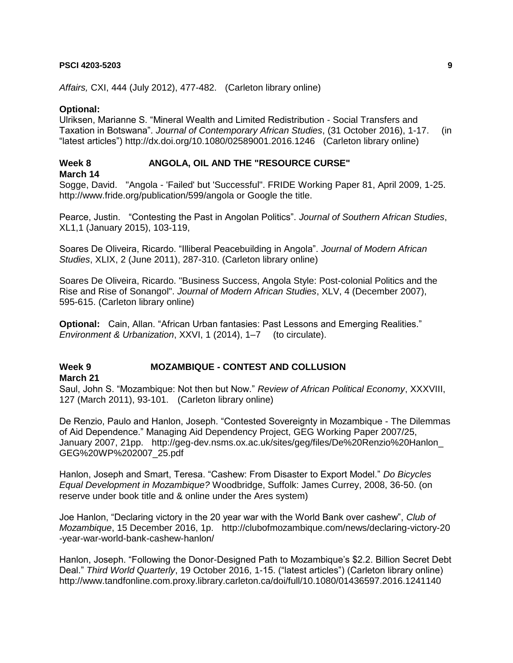*Affairs,* CXI, 444 (July 2012), 477-482. (Carleton library online)

## **Optional:**

Ulriksen, Marianne S. "Mineral Wealth and Limited Redistribution - Social Transfers and Taxation in Botswana". *Journal of Contemporary African Studies*, (31 October 2016), 1-17. (in "latest articles") http://dx.doi.org/10.1080/02589001.2016.1246 (Carleton library online)

# **Week 8 ANGOLA, OIL AND THE "RESOURCE CURSE"**

**March 14**

Sogge, David. "Angola - 'Failed' but 'Successful". FRIDE Working Paper 81, April 2009, 1-25. http://www.fride.org/publication/599/angola or Google the title.

Pearce, Justin. "Contesting the Past in Angolan Politics". *Journal of Southern African Studies*, XL1,1 (January 2015), 103-119,

Soares De Oliveira, Ricardo. "Illiberal Peacebuilding in Angola". *Journal of Modern African Studies*, XLIX, 2 (June 2011), 287-310. (Carleton library online)

Soares De Oliveira, Ricardo. "Business Success, Angola Style: Post-colonial Politics and the Rise and Rise of Sonangol". *Journal of Modern African Studies*, XLV, 4 (December 2007), 595-615. (Carleton library online)

**Optional:** Cain, Allan. "African Urban fantasies: Past Lessons and Emerging Realities." *Environment & Urbanization*, XXVI, 1 (2014), 1–7 (to circulate).

# **Week 9 MOZAMBIQUE - CONTEST AND COLLUSION**

**March 21**

Saul, John S. "Mozambique: Not then but Now." *Review of African Political Economy*, XXXVIII, 127 (March 2011), 93-101.(Carleton library online)

De Renzio, Paulo and Hanlon, Joseph. "Contested Sovereignty in Mozambique - The Dilemmas of Aid Dependence." Managing Aid Dependency Project, GEG Working Paper 2007/25, January 2007, 21pp. http://geg-dev.nsms.ox.ac.uk/sites/geg/files/De%20Renzio%20Hanlon\_ GEG%20WP%202007\_25.pdf

Hanlon, Joseph and Smart, Teresa. "Cashew: From Disaster to Export Model." *Do Bicycles Equal Development in Mozambique?* Woodbridge, Suffolk: James Currey, 2008, 36-50. (on reserve under book title and & online under the Ares system)

Joe Hanlon, "Declaring victory in the 20 year war with the World Bank over cashew", *Club of Mozambique*, 15 December 2016, 1p. http://clubofmozambique.com/news/declaring-victory-20 -year-war-world-bank-cashew-hanlon/

Hanlon, Joseph. "Following the Donor-Designed Path to Mozambique's \$2.2. Billion Secret Debt Deal." *Third World Quarterly*, 19 October 2016, 1-15. ("latest articles") (Carleton library online) http://www.tandfonline.com.proxy.library.carleton.ca/doi/full/10.1080/01436597.2016.1241140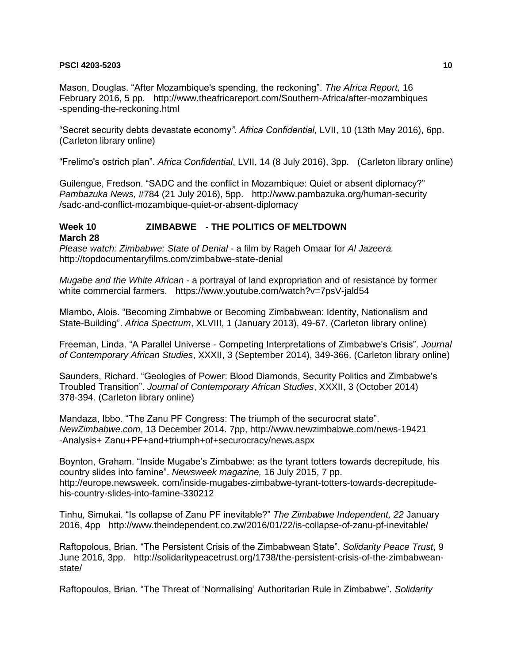Mason, Douglas. "After Mozambique's spending, the reckoning". *The Africa Report,* 16 February 2016, 5 pp. http://www.theafricareport.com/Southern-Africa/after-mozambiques -spending-the-reckoning.html

"Secret security debts devastate economy*". Africa Confidential*, LVII, 10 (13th May 2016), 6pp. (Carleton library online)

"Frelimo's ostrich plan". *Africa Confidential*, LVII, 14 (8 July 2016), 3pp. (Carleton library online)

Guilengue, Fredson. "SADC and the conflict in Mozambique: Quiet or absent diplomacy?" *Pambazuka News,* #784 (21 July 2016), 5pp. http://www.pambazuka.org/human-security /sadc-and-conflict-mozambique-quiet-or-absent-diplomacy

# **Week 10 ZIMBABWE - THE POLITICS OF MELTDOWN**

**March 28**

*Please watch: Zimbabwe: State of Denial* - a film by Rageh Omaar for *Al Jazeera.*  http://topdocumentaryfilms.com/zimbabwe-state-denial

*Mugabe and the White African -* a portrayal of land expropriation and of resistance by former white commercial farmers. https://www.youtube.com/watch?v=7psV-jald54

Mlambo, Alois. "Becoming Zimbabwe or Becoming Zimbabwean: Identity, Nationalism and State-Building". *Africa Spectrum*, XLVIII, 1 (January 2013), 49-67. (Carleton library online)

Freeman, Linda. "A Parallel Universe - Competing Interpretations of Zimbabwe's Crisis". *Journal of Contemporary African Studies*, XXXII, 3 (September 2014), 349-366. (Carleton library online)

Saunders, Richard. "Geologies of Power: Blood Diamonds, Security Politics and Zimbabwe's Troubled Transition". *Journal of Contemporary African Studies*, XXXII, 3 (October 2014) 378-394. (Carleton library online)

Mandaza, Ibbo. "The Zanu PF Congress: The triumph of the securocrat state". *NewZimbabwe.com*, 13 December 2014. 7pp, http://www.newzimbabwe.com/news-19421 -Analysis+ Zanu+PF+and+triumph+of+securocracy/news.aspx

Boynton, Graham. "Inside Mugabe's Zimbabwe: as the tyrant totters towards decrepitude, his country slides into famine". *Newsweek magazine,* 16 July 2015, 7 pp. http://europe.newsweek. com/inside-mugabes-zimbabwe-tyrant-totters-towards-decrepitudehis-country-slides-into-famine-330212

Tinhu, Simukai. "Is collapse of Zanu PF inevitable?" *The Zimbabwe Independent, 22* January 2016, 4pp http://www.theindependent.co.zw/2016/01/22/is-collapse-of-zanu-pf-inevitable/

Raftopolous, Brian. "The Persistent Crisis of the Zimbabwean State". *Solidarity Peace Trust*, 9 June 2016, 3pp. http://solidaritypeacetrust.org/1738/the-persistent-crisis-of-the-zimbabweanstate/

Raftopoulos, Brian. "The Threat of 'Normalising' Authoritarian Rule in Zimbabwe". *Solidarity*